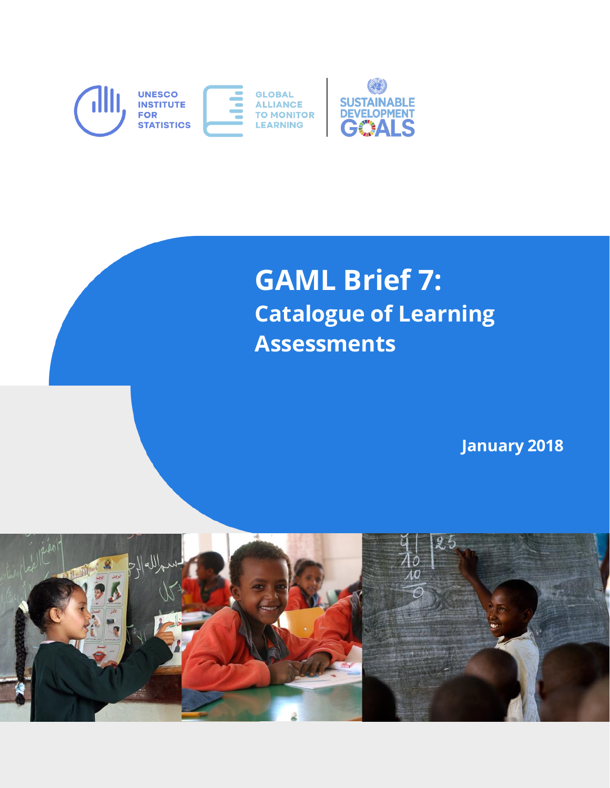

# **GAML Brief 7: Catalogue of Learning Assessments**

**January 2018**

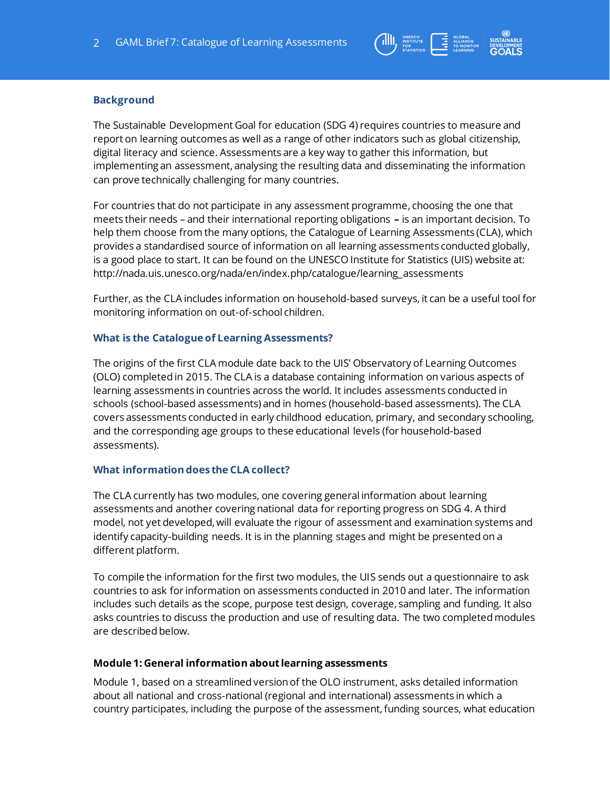

### **Background**

 $-+++++++$ 

The Sustainable Development Goal for education (SDG 4) requires countries to measure and report on learning outcomes as well as a range of other indicators such as global citizenship, digital literacy and science. Assessments are a key way to gather this information, but implementing an assessment, analysing the resulting data and disseminating the information can prove technically challenging for many countries.

For countries that do not participate in any assessment programme, choosing the one that meets their needs – and their international reporting obligations **–** is an important decision. To help them choose from the many options, the Catalogue of Learning Assessments (CLA), which provides a standardised source of information on all learning assessments conducted globally, is a good place to start. It can be found on the UNESCO Institute for Statistics (UIS) website at: [http://nada.uis.unesco.org/nada/en/index.php/catalogue/learning\\_assessments](http://nada.uis.unesco.org/nada/en/index.php/catalogue/learning_assessments)

Further, as the CLA includes information on household-based surveys, it can be a useful tool for monitoring information on out-of-school children.

#### **What is the Catalogue of Learning Assessments?**

The origins of the first CLA module date back to the UIS' Observatory of Learning Outcomes (OLO) completed in 2015. The CLA is a database containing information on various aspects of learning assessments in countries across the world. It includes assessments conducted in schools (school-based assessments) and in homes (household-based assessments). The CLA covers assessments conducted in early childhood education, primary, and secondary schooling, and the corresponding age groups to these educational levels (for household-based assessments).

### **What information does the CLA collect?**

The CLA currently has two modules, one covering general information about learning assessments and another covering national data for reporting progress on SDG 4. A third model, not yet developed, will evaluate the rigour of assessment and examination systems and identify capacity-building needs. It is in the planning stages and might be presented on a different platform.

To compile the information for the first two modules, the UIS sends out a questionnaire to ask countries to ask for information on assessments conducted in 2010 and later. The information includes such details as the scope, purpose test design, coverage, sampling and funding. It also asks countries to discuss the production and use of resulting data. The two completed modules are described below.

### **Module 1: General information about learning assessments**

Module 1, based on a streamlined version of the OLO instrument, asks detailed information about all national and cross-national (regional and international) assessments in which a country participates, including the purpose of the assessment, funding sources, what education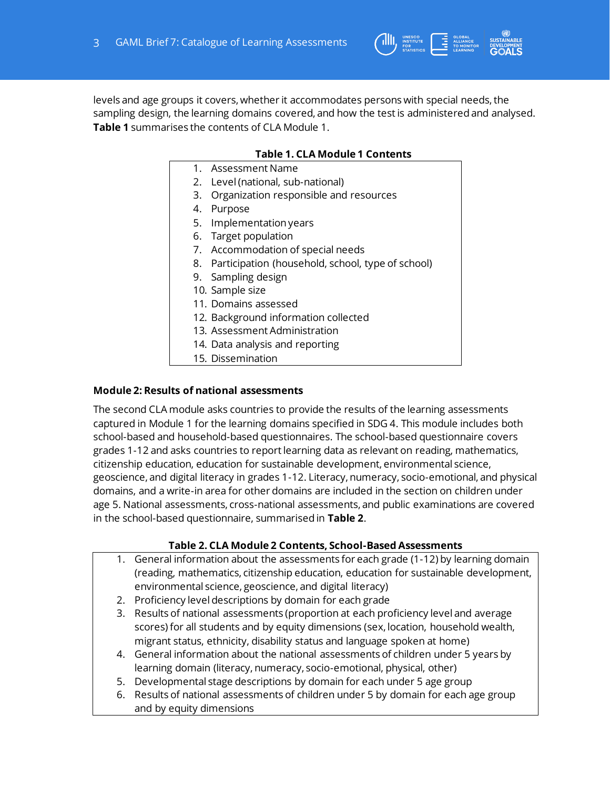$-+++++++$ 

levels and age groups it covers, whether it accommodates persons with special needs, the sampling design, the learning domains covered, and how the test is administered and analysed. **Table 1** summarises the contents of CLA Module 1.

## **Table 1. CLA Module 1 Contents**

THE GLOBAL INSTITUTE CLOBAL ALLIANCE

- 1. Assessment Name
- 2. Level (national, sub-national)
- 3. Organization responsible and resources
- 4. Purpose
- 5. Implementation years
- 6. Target population
- 7. Accommodation of special needs
- 8. Participation (household, school, type of school)
- 9. Sampling design
- 10. Sample size
- 11. Domains assessed
- 12. Background information collected
- 13. Assessment Administration
- 14. Data analysis and reporting
- 15. Dissemination

### **Module 2: Results of national assessments**

The second CLA module asks countries to provide the results of the learning assessments captured in Module 1 for the learning domains specified in SDG 4. This module includes both school-based and household-based questionnaires. The school-based questionnaire covers grades 1-12 and asks countries to report learning data as relevant on reading, mathematics, citizenship education, education for sustainable development, environmental science, geoscience, and digital literacy in grades 1-12. Literacy, numeracy, socio-emotional, and physical domains, and a write-in area for other domains are included in the section on children under age 5. National assessments, cross-national assessments, and public examinations are covered in the school-based questionnaire, summarised in **Table 2**.

### **Table 2. CLA Module 2 Contents, School-Based Assessments**

- 1. General information about the assessments for each grade (1-12) by learning domain (reading, mathematics, citizenship education, education for sustainable development, environmental science, geoscience, and digital literacy)
- 2. Proficiency level descriptions by domain for each grade
- 3. Results of national assessments (proportion at each proficiency level and average scores) for all students and by equity dimensions (sex, location, household wealth, migrant status, ethnicity, disability status and language spoken at home)
- 4. General information about the national assessments of children under 5 years by learning domain (literacy, numeracy, socio-emotional, physical, other)
- 5. Developmental stage descriptions by domain for each under 5 age group
- 6. Results of national assessments of children under 5 by domain for each age group and by equity dimensions